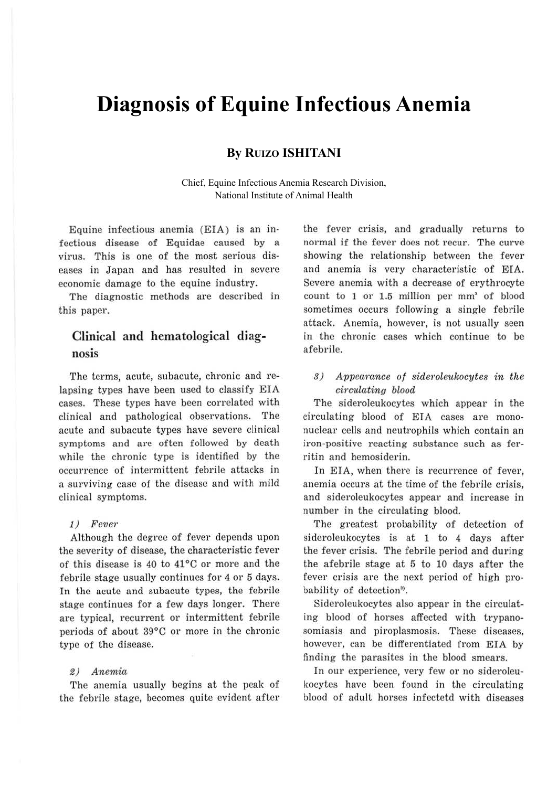# **Diagnosis of Equine Infectious Anemia**

## **By RUIZO ISHITANI**

Chief, Equine Infectious Anemia Research Division, National Institute of Animal Health

Equine infectious anemia (EIA) is an infectious disease of Equidae caused by a virus. This is one of the most serious diseases in Japan and has resulted in severe economic damage to the equine industry.

The diagnostic methods are described in this paper.

## Clinical and hematological diagnosis

The terms, acute, subacute, chronic and relapsing types have been used to classify EIA cases. These types have been correlated with clinical and pathological observations. The acute and subacute types have severe clinical symptoms and are often followed by death while the chronic type is identified by the occurrence of intermittent febrile attacks in a surviving case of the disease and with mild clinical symptoms.

#### 1) Fever

Although the degree of fever depends upon the severity of disease, the characteristic fever of this disease is 40 to  $41^{\circ}$ C or more and the febrile stage usually continues for 4 or 5 days. In the acute and subacute types, the febrile stage continues for a few days longer. There are typical, recurrent or intermittent febrile periods of about 39°C or more in the chronic type of the disease.

### 2) Aneniia

The anemia usually begins at the peak of the febrile stage, becomes quite evident after the fever crisis, and gradually returns to normal if the fever does not recur. The curve showing the relationship between the fever and anemia is very characteristic of EIA. Severe anemia with a decrease of erythrocyte count to 1 or 1.5 million per mm• of blood sometimes occurs following a single febrile attack. Anemia, however, is not usually seen in the chronic cases which continue to be afebrile.

3) Appearance of sideroleukocytes in the circulating blood

The sideroleukocytes which appear in the circulating blood of EIA cases are mononuclear cells and neutrophils which contain an iron-positive reacting substance such as ferritin and hemosiderin.

In EIA, when there is recurrence of fever, anemia occurs at the time of the febrile crisis, and sideroleukocytes appear and increase in number in the circulating blood.

The greatest probability of detection of sideroleukocytes is at 1 to 4 days after the fever crisis. The febrile period and during the afebrile stage at 5 to 10 days after the fever crisis are the next period of high probability of detection<sup>3</sup>.

Sideroleukocytes also appear in the circulating blood of horses affected with trypanosomiasis and piroplasmosis. These diseases, however, can be differentiated from EIA by finding the parasites in the blood smears.

In our experience, very few or no sideroleukocytes have been found in the circulating blood of adult horses infectetd with diseases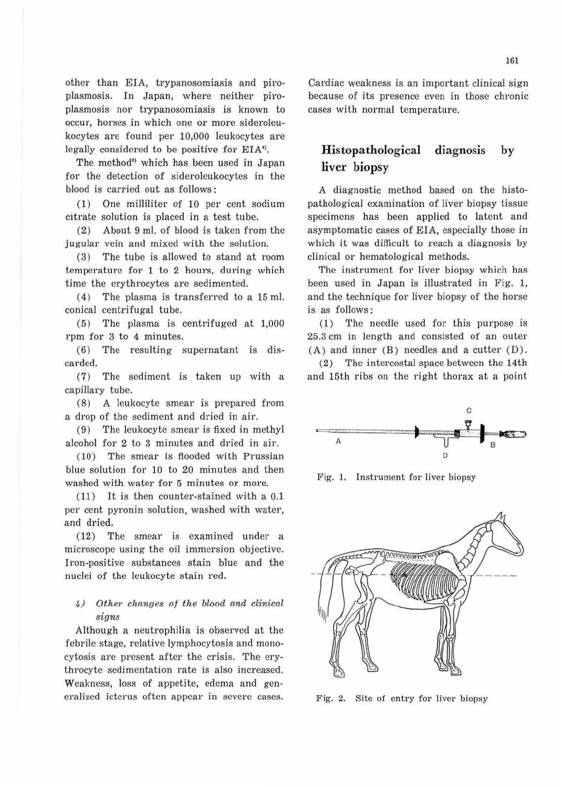other than EIA, trypanosomiasis and piroplasmosis. In Japan, where neither piroplasmosis nor trypanosomiasis is known to occur, horses in which one or more sideroleukocytes are found per 10,000 leukocytes are legally considered to be positive for EIA<sup>9</sup>.

The method<sup>®</sup> which has been used in Japan for the detection of sideroleukocytes in the blood is carried out as follows:

(1) One milliliter of 10 per cent sodium citrate solution is placed in a test tube.

(2) About 9 ml. of blood is taken from the jugular vein and mixed with the solution.

(3) The tube is allowed to stand at room temperature for 1 to 2 hours, during which time the erythrocytes are sedimented.

 $(4)$  The plasma is transferred to a 15 ml. conical centrifugal tube.

(5) The plasma is centrifuged at 1,000 rpm for 3 to 4 minutes.

(6) The resulting supernatant is discarded.

(7) The sediment is taken up with a capillary tube.

 $(8)$  A leukocyte smear is prepared from a drop of the sediment and dried in air.

(9) The leukocyte smear is fixed in methyl alcohol for 2 to 3 minutes and dried in air.

(10) The smear is flooded with Prussian blue solution for 10 to 20 minutes and then washed with water for 5 minutes or more.

(11) It is then counter-stained with a 0.1 per cent pyronin solution, washed with water, and dried.

(12) The smear is examined under a microscope using the oil immersion objective. Iron-positive substances stain blue and the nuclei of the leukocyte stain red.

### 4) Other changes of the blood and clinical *signs*

Although a neutrophilia is observed at the febrile stage, relative lymphocytosis and monocytosis are present after the crisis. The erythrocyte sedimentation rate is also increased. Weakness, loss of appetite, edema and generalized icterus often appear in severe cases. Cardiac weakness is an important clinical sign because of its presence even in those chronic cases with normal temperature.

## **Histopathological diagnosis by liver biopsy**

A diagnostic method based on the histopathological examination of liver biopsy tissue specimens has been applied to latent and asymptomatic cases of EIA, especially those in which it was difficult to reach a diagnosis by clinical or hematological methods.

The instrument for liver biopsy which has been used in Japan is illustrated in Fig. l, and the technique for liver biopsy of the horse is as follows:

 $(1)$  The needle used for this purpose is 25.3 cm in length and consisted of an outer (A) and inner (B) needles and a cutter (D).

(2) The intercostal space between the 14th and 15th ribs on the right thorax at a point



Fig. 1. Instrument for liver biopsy



Fig. 2. Site of entry for liver biopsy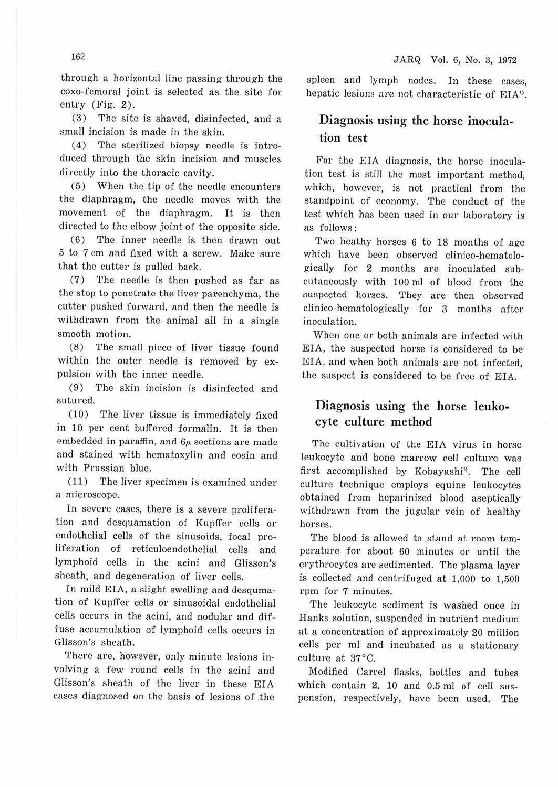through a horizontal line passing through the coxo-femoral joint is selected as the site for entry (Fig. 2).

(3) The site is shaved, disinfected, and a small incision is made in the skin.

( 4) The sterilized biopsy needle is introduced through the skin incision and muscles directly into the thoracic cavity.

 $(5)$  When the tip of the needle encounters the diaphragm, the needle moves with the movement of the diaphragm. It is then directed to the elbow joint of the opposite side.

(6) The inner needle is then drawn out 5 to 7 cm and fixed with a screw. Make sure that the cutter is pulled back.

(7) The needle is then pushed as far as the stop to penetrate the liver parenchyma, the cutter pushed forward, and then the needle is withdrawn from the animal all in a single smooth motion.

(8) The small piece of liver tissue found within the outer needle is removed by expulsion with the inner needle.

(9) The skin incision is disinfected and sutured.

(10) The liver tissue is immediately fixed in 10 per cent buffered formalin. It is then embedded in paraffin, and *6µ,* sections are made and stained with hematoxylin and eosin and with Prussian blue.

(11) The liver specimen is examined under a microscope.

In severe cases, there is a severe proliferation and desquamation of Kupffer cells or endothelial cells of the sinusoids, focal proliferation of reticuloendothelial cells and lymphoid cells in the acini and Glisson's sheath, and degeneration of liver cells.

In mild EIA, a slight swelling and desqumation of Kupffer cells or sinusoidal endothelial cells occurs in the acini, and nodular and diffuse accumulation of lymphoid cells occurs in Glisson's sheath.

There are, however, only minute lesions involving a few round cells in the acini and Glisson's sheath of the liver in these EIA cases diagnosed on the basis of lesions of the

spleen and lymph nodes. In these cases, hepatic lesions are not characteristic of EIA'>.

## Diagnosis using the horse inoculation test

For the EIA diagnosis, the horse inoculation test is still the most important method, which, however, is not practical from the standpoint of economy. The conduct of the test which has been used in our laboratory is as follows :

Two heathy horses 6 to 18 months of age which have been observed clinico-hematologically for 2 months are inoculated subcutaneously with 100 ml of blood from the suspected horses. They are then observed clinico -hematologically for 3 months after inoculation.

When one or both animals are infected with EIA, the suspected horse is considered to be EIA, and when both animals are not infected, the suspect is considered to be free of EIA.

## Diagnosis using the horse leukocyte culture method

The cultivation of the EIA virus in horse leukocyte and bone marrow cell culture was first accomplished by Kobayashi<sup>5</sup>. The cell culture technique employs equine leukocytes obtained from heparinized blood aseptically withdrawn from the jugular vein of healthy horses.

The blood is allowed to stand at room temperature for about 60 minutes or until the erythrocytes are sedimented. The plasma layer is collected and centrifuged at 1,000 to 1,500 rpm for 7 minutes.

The leukocyte sediment is washed once in Hanks solution, suspended in nutrient medium at a concentration of approximately 20 million cells per ml and incubated as a stationary culture at 37°C.

Modified Carrel flasks, bottles and tubes which contain 2, 10 and 0.5 ml of cell suspension, respectively, have been used. The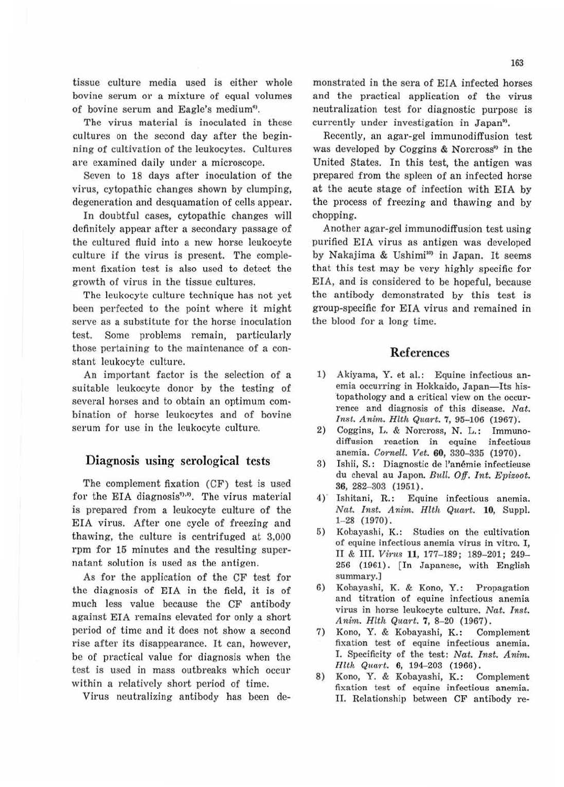tissue culture media used is either whole bovine serum or a mixture of equal volumes of bovine serum and Eagle's medium<sup>6</sup>.

The virus material is inoculated in these cultures on the second day after the beginning of cultivation of the leukocytes. Cultures are examined daily under a microscope.

Seven to 18 days after inoculation of the virus, cytopathic changes shown by clumping, degeneration and desquamation of cells appear.

In doubtful cases, cytopathic changes will definitely appear after a secondary passage of the cultured fluid into a new horse leukocyte culture if the virus is present. The complement fixation test is also used to detect the growth of virus in the tissue cultures.

The leukocyte culture technique has not yet been perfected to the point where it might serve as a substitute for the horse inoculation test. Some problems remain, particularly those pertaining to the maintenance of a constant leukocyte culture.

An important factor is the selection of a suitable leukocyte donor by the testing of several horses and to obtain an optimum combination of horse leukocytes and of bovine serum for use in the leukocyte culture.

#### Diagnosis using serological tests

The complement fixation (CF) test is used for the EIA diagnosis<sup>","</sup>. The virus material is prepared from a leukocyte culture of the EIA virus. After one cycle of freezing and thawing, the culture is centrifuged at 3,000 rpm for 15 minutes and the resulting supernatant solution is used as the antigen.

As for the application of the CF test for the diagnosis of EIA in the field, it is of much less value because the CF antibody against EIA remains elevated for only a short period of time and it does not show a second rise after its disappearance. It can, however, be of practical value for diagnosis when the test is used in mass outbreaks which occur within a relatively short period of time.

Virus neutralizing antibody has been de-

monstrated in the sera of EIA infected horses and the practical application of the virus neutralization test for diagnostic purpose is currently under investigation in Japan<sup>9</sup>.

Recently, an agar-gel immunodiffusion test was developed by Coggins & Norcross<sup>29</sup> in the United States. In this test, the antigen was prepared from the spleen of an infected horse at the acute stage of infection with EIA by the process of freezing and thawing and by chopping.

Another agar-gel immunodiffusion test using purified EIA virus as antigen was developed by Nakajima & Ushimi<sup>10</sup> in Japan. It seems that this test may be very highly specific for EIA, and is considered to be hopeful, because the antibody demonstrated by this test is group-specific for EIA virus and remained in the blood for a long time.

### References

- 1) Akiyama, Y. et al.: Equine infectious anemia occurring in Hokkaido, Japan-Its his-'topathology and a critical view on the occurrence and diagnosis of this disease. Nat. Inst. Anim. Hlth Quart. 7, 95-106 (1967).
- 2) Coggins, L. & Norcross, N. L.: Immunodifl'usion reaction in equine infectious anemia. *Cornell. Vet.* **60**, 330-335 (1970).
- 3) Ishii, S.: Diagnostic de l'anémie infectieuse du cheval au Japon. *Bull. Off. Int. Epizoot.* 36, 282-303 (1951).
- 4)' Ishitani, R.: Equine infectious anemia. Nat. Inst. Anim. *Hlth Quart*. **10**, Suppl. 1- 28 (1970).
- 5) Kobayashi, K.: Studies on the cultivation of equine infectious anemia virus in vitro. I, II & III. *Virus* **11,** 177- 189; 189-201; 249- 256 (1961). [In Japanese, with English summary.)
- 6) Kobayashi, K. & Kono, Y.: Propagation and titration of equine infectious anemia virus in horse leukocyte culture. Nat. *Inst.*  Anim. Hlth Quart. 7, 8-20 (1967).
- 7) Kono, Y. & Kobayashi, K.: Complement fixation test of equine infectious anemia. I. Specificity of the test: Nat. Inst. Anim. Hlth Quart. **6**, 194-203 (1966).
- 8) Kono, Y. & Kobayashi, K.: Complement fixation test of equine infectious anemia. II. Relationship between CF antibody re-